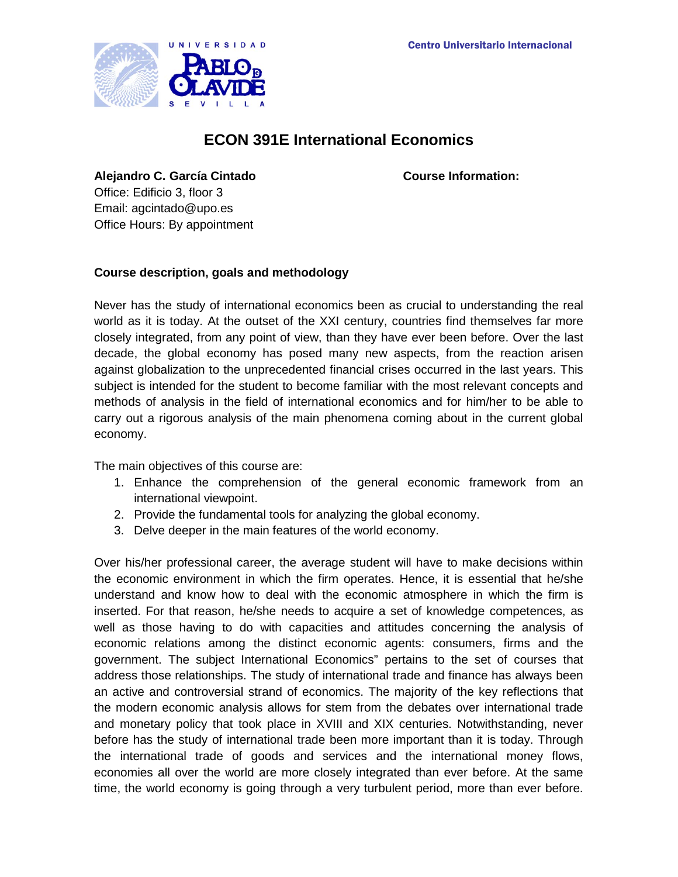

# **ECON 391E International Economics**

**Alejandro C. García Cintado Course Information:**

Office: Edificio 3, floor 3 Email: agcintado@upo.es Office Hours: By appointment

## **Course description, goals and methodology**

Never has the study of international economics been as crucial to understanding the real world as it is today. At the outset of the XXI century, countries find themselves far more closely integrated, from any point of view, than they have ever been before. Over the last decade, the global economy has posed many new aspects, from the reaction arisen against globalization to the unprecedented financial crises occurred in the last years. This subject is intended for the student to become familiar with the most relevant concepts and methods of analysis in the field of international economics and for him/her to be able to carry out a rigorous analysis of the main phenomena coming about in the current global economy.

The main objectives of this course are:

- 1. Enhance the comprehension of the general economic framework from an international viewpoint.
- 2. Provide the fundamental tools for analyzing the global economy.
- 3. Delve deeper in the main features of the world economy.

Over his/her professional career, the average student will have to make decisions within the economic environment in which the firm operates. Hence, it is essential that he/she understand and know how to deal with the economic atmosphere in which the firm is inserted. For that reason, he/she needs to acquire a set of knowledge competences, as well as those having to do with capacities and attitudes concerning the analysis of economic relations among the distinct economic agents: consumers, firms and the government. The subject International Economics" pertains to the set of courses that address those relationships. The study of international trade and finance has always been an active and controversial strand of economics. The majority of the key reflections that the modern economic analysis allows for stem from the debates over international trade and monetary policy that took place in XVIII and XIX centuries. Notwithstanding, never before has the study of international trade been more important than it is today. Through the international trade of goods and services and the international money flows, economies all over the world are more closely integrated than ever before. At the same time, the world economy is going through a very turbulent period, more than ever before.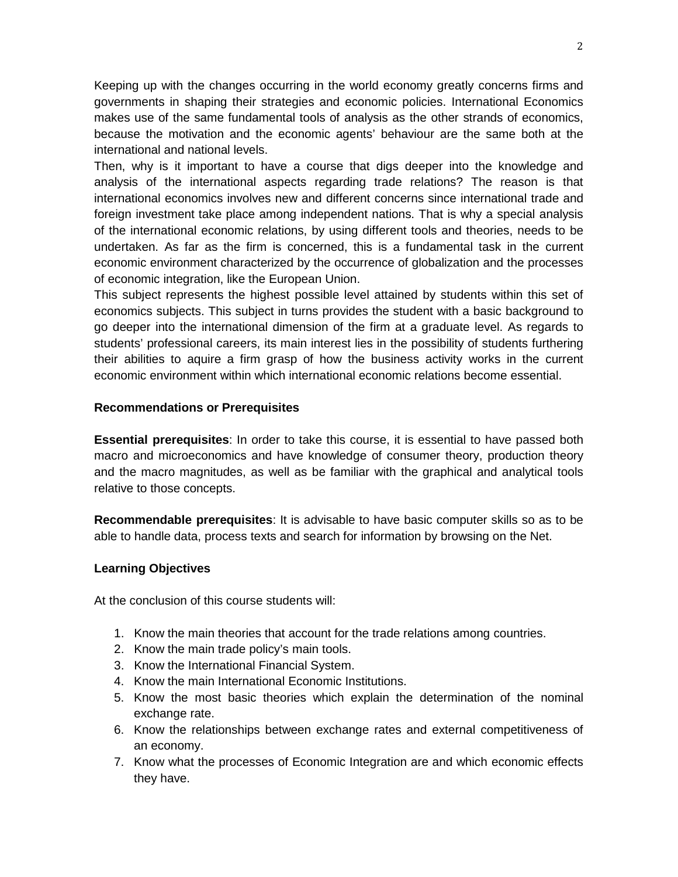Keeping up with the changes occurring in the world economy greatly concerns firms and governments in shaping their strategies and economic policies. International Economics makes use of the same fundamental tools of analysis as the other strands of economics, because the motivation and the economic agents' behaviour are the same both at the international and national levels.

Then, why is it important to have a course that digs deeper into the knowledge and analysis of the international aspects regarding trade relations? The reason is that international economics involves new and different concerns since international trade and foreign investment take place among independent nations. That is why a special analysis of the international economic relations, by using different tools and theories, needs to be undertaken. As far as the firm is concerned, this is a fundamental task in the current economic environment characterized by the occurrence of globalization and the processes of economic integration, like the European Union.

This subject represents the highest possible level attained by students within this set of economics subjects. This subject in turns provides the student with a basic background to go deeper into the international dimension of the firm at a graduate level. As regards to students' professional careers, its main interest lies in the possibility of students furthering their abilities to aquire a firm grasp of how the business activity works in the current economic environment within which international economic relations become essential.

## **Recommendations or Prerequisites**

**Essential prerequisites**: In order to take this course, it is essential to have passed both macro and microeconomics and have knowledge of consumer theory, production theory and the macro magnitudes, as well as be familiar with the graphical and analytical tools relative to those concepts.

**Recommendable prerequisites**: It is advisable to have basic computer skills so as to be able to handle data, process texts and search for information by browsing on the Net.

## **Learning Objectives**

At the conclusion of this course students will:

- 1. Know the main theories that account for the trade relations among countries.
- 2. Know the main trade policy's main tools.
- 3. Know the International Financial System.
- 4. Know the main International Economic Institutions.
- 5. Know the most basic theories which explain the determination of the nominal exchange rate.
- 6. Know the relationships between exchange rates and external competitiveness of an economy.
- 7. Know what the processes of Economic Integration are and which economic effects they have.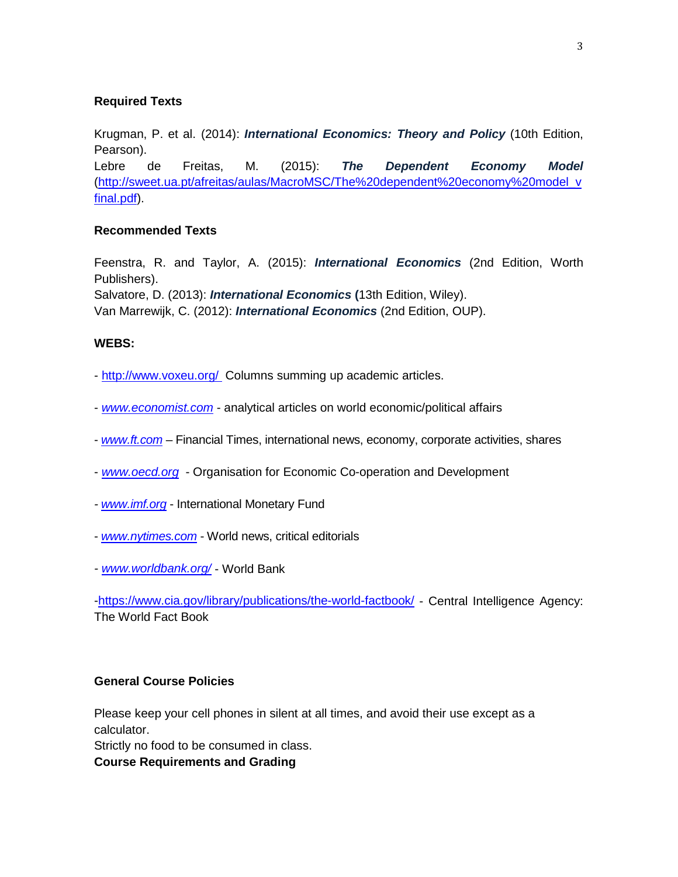## **Required Texts**

Krugman, P. et al. (2014): *International Economics: Theory and Policy* (10th Edition, Pearson).

Lebre de Freitas, M. (2015): *The Dependent Economy Model* [\(http://sweet.ua.pt/afreitas/aulas/MacroMSC/The%20dependent%20economy%20model\\_v](http://sweet.ua.pt/afreitas/aulas/MacroMSC/The%20dependent%20economy%20model_vfinal.pdf) [final.pdf\)](http://sweet.ua.pt/afreitas/aulas/MacroMSC/The%20dependent%20economy%20model_vfinal.pdf).

#### **Recommended Texts**

Feenstra, R. and Taylor, A. (2015): *International Economics* (2nd Edition, Worth Publishers). Salvatore, D. (2013): *International Economics* **(**13th Edition, Wiley). Van Marrewijk, C. (2012): *International Economics* (2nd Edition, OUP).

#### **WEBS:**

- <http://www.voxeu.org/> Columns summing up academic articles.
- *[www.economist.com](http://www.economist.com/)* analytical articles on world economic/political affairs
- *[www.ft.com](http://www.ft.com/)* Financial Times, international news, economy, corporate activities, shares
- *[www.oecd.org](http://www.oecd.org/)* Organisation for Economic Co-operation and Development
- *- [www.imf.org](http://www.imf.org/)* International Monetary Fund
- *[www.nytimes.com](http://www.nytimes.com/)* World news, critical editorials
- *- [www.worldbank.org/](http://www.worldbank.org/)* World Bank

[-https://www.cia.gov/library/publications/the-world-factbook/](https://www.cia.gov/library/publications/the-world-factbook/) - Central Intelligence Agency: The World Fact Book

#### **General Course Policies**

Please keep your cell phones in silent at all times, and avoid their use except as a calculator.

Strictly no food to be consumed in class.

**Course Requirements and Grading**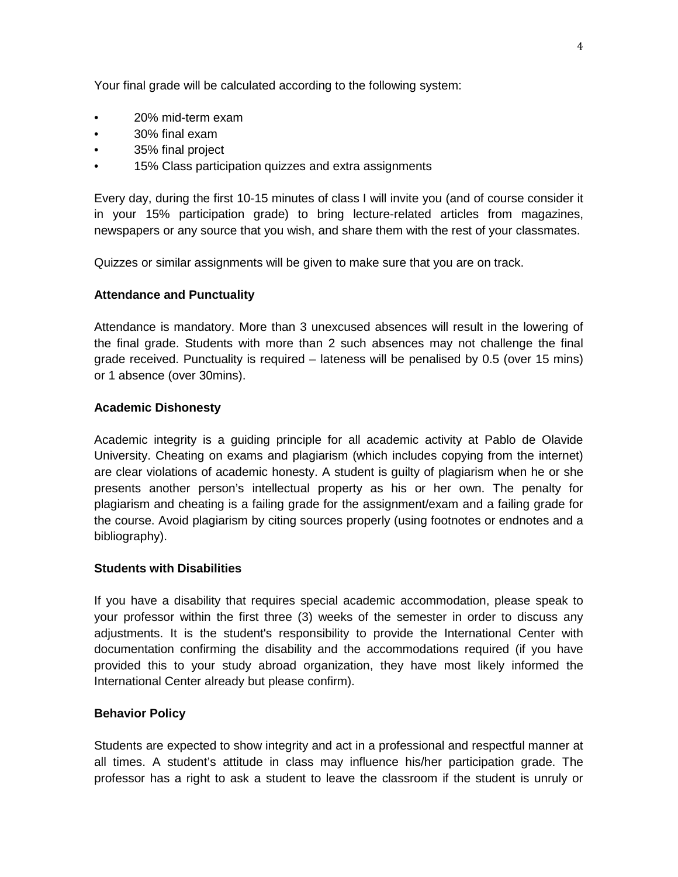Your final grade will be calculated according to the following system:

- 20% mid-term exam
- 30% final exam
- 35% final project
- 15% Class participation quizzes and extra assignments

Every day, during the first 10-15 minutes of class I will invite you (and of course consider it in your 15% participation grade) to bring lecture-related articles from magazines, newspapers or any source that you wish, and share them with the rest of your classmates.

Quizzes or similar assignments will be given to make sure that you are on track.

## **Attendance and Punctuality**

Attendance is mandatory. More than 3 unexcused absences will result in the lowering of the final grade. Students with more than 2 such absences may not challenge the final grade received. Punctuality is required – lateness will be penalised by 0.5 (over 15 mins) or 1 absence (over 30mins).

#### **Academic Dishonesty**

Academic integrity is a guiding principle for all academic activity at Pablo de Olavide University. Cheating on exams and plagiarism (which includes copying from the internet) are clear violations of academic honesty. A student is guilty of plagiarism when he or she presents another person's intellectual property as his or her own. The penalty for plagiarism and cheating is a failing grade for the assignment/exam and a failing grade for the course. Avoid plagiarism by citing sources properly (using footnotes or endnotes and a bibliography).

#### **Students with Disabilities**

If you have a disability that requires special academic accommodation, please speak to your professor within the first three (3) weeks of the semester in order to discuss any adjustments. It is the student's responsibility to provide the International Center with documentation confirming the disability and the accommodations required (if you have provided this to your study abroad organization, they have most likely informed the International Center already but please confirm).

## **Behavior Policy**

Students are expected to show integrity and act in a professional and respectful manner at all times. A student's attitude in class may influence his/her participation grade. The professor has a right to ask a student to leave the classroom if the student is unruly or